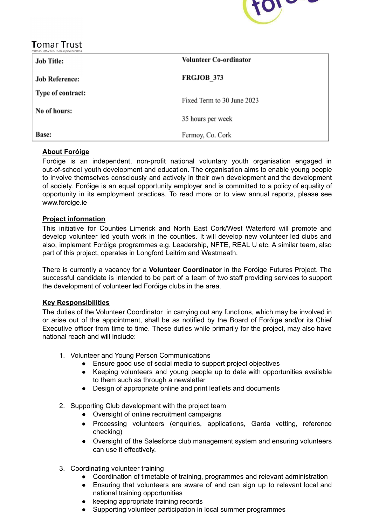

# **Tomar Trust**

| <b>Job Title:</b>     | <b>Volunteer Co-ordinator</b> |
|-----------------------|-------------------------------|
| <b>Job Reference:</b> | <b>FRGJOB 373</b>             |
| Type of contract:     | Fixed Term to 30 June 2023    |
| No of hours:          | 35 hours per week             |
| <b>Base:</b>          | Fermoy, Co. Cork              |

# **About Foróige**

Foróige is an independent, non-profit national voluntary youth organisation engaged in out-of-school youth development and education. The organisation aims to enable young people to involve themselves consciously and actively in their own development and the development of society. Foróige is an equal opportunity employer and is committed to a policy of equality of opportunity in its employment practices. To read more or to view annual reports, please see www.foroige.ie

# **Project information**

This initiative for Counties Limerick and North East Cork/West Waterford will promote and develop volunteer led youth work in the counties. It will develop new volunteer led clubs and also, implement Foróige programmes e.g. Leadership, NFTE, REAL U etc. A similar team, also part of this project, operates in Longford Leitrim and Westmeath.

There is currently a vacancy for a **Volunteer Coordinator** in the Foróige Futures Project. The successful candidate is intended to be part of a team of two staff providing services to support the development of volunteer led Foróige clubs in the area.

# **Key Responsibilities**

The duties of the Volunteer Coordinator in carrying out any functions, which may be involved in or arise out of the appointment, shall be as notified by the Board of Foróige and/or its Chief Executive officer from time to time. These duties while primarily for the project, may also have national reach and will include:

- 1. Volunteer and Young Person Communications
	- Ensure good use of social media to support project objectives
	- Keeping volunteers and young people up to date with opportunities available to them such as through a newsletter
	- Design of appropriate online and print leaflets and documents
- 2. Supporting Club development with the project team
	- Oversight of online recruitment campaigns
	- Processing volunteers (enquiries, applications, Garda vetting, reference checking)
	- Oversight of the Salesforce club management system and ensuring volunteers can use it effectively.
- 3. Coordinating volunteer training
	- Coordination of timetable of training, programmes and relevant administration
	- Ensuring that volunteers are aware of and can sign up to relevant local and national training opportunities
	- keeping appropriate training records
	- Supporting volunteer participation in local summer programmes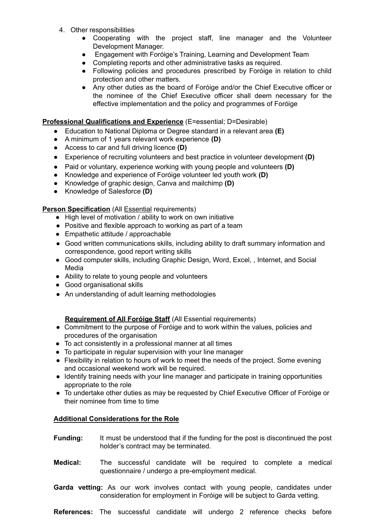- 4. Other responsibilities
	- Cooperating with the project staff, line manager and the Volunteer Development Manager.
	- Engagement with Foróige's Training, Learning and Development Team
	- Completing reports and other administrative tasks as required.
	- Following policies and procedures prescribed by Foróige in relation to child protection and other matters.
	- Any other duties as the board of Foróige and/or the Chief Executive officer or the nominee of the Chief Executive officer shall deem necessary for the effective implementation and the policy and programmes of Foróige

#### **Professional Qualifications and Experience** (E=essential; D=Desirable)

- **●** Education to National Diploma or Degree standard in a relevant area **(E)**
- **●** A minimum of 1 years relevant work experience **(D)**
- **●** Access to car and full driving licence **(D)**
- **●** Experience of recruiting volunteers and best practice in volunteer development **(D)**
- **●** Paid or voluntary, experience working with young people and volunteers **(D)**
- **●** Knowledge and experience of Foróige volunteer led youth work **(D)**
- Knowledge of graphic design, Canva and mailchimp **(D)**
- Knowledge of Salesforce **(D)**

## **Person Specification** (All Essential requirements)

- High level of motivation / ability to work on own initiative
- Positive and flexible approach to working as part of a team
- Empathetic attitude / approachable
- Good written communications skills, including ability to draft summary information and correspondence, good report writing skills
- Good computer skills, including Graphic Design, Word, Excel, , Internet, and Social Media
- Ability to relate to young people and volunteers
- Good organisational skills
- An understanding of adult learning methodologies

## **Requirement of All Foróige Staff** (All Essential requirements)

- Commitment to the purpose of Foróige and to work within the values, policies and procedures of the organisation
- To act consistently in a professional manner at all times
- To participate in regular supervision with your line manager
- Flexibility in relation to hours of work to meet the needs of the project. Some evening and occasional weekend work will be required.
- Identify training needs with your line manager and participate in training opportunities appropriate to the role
- To undertake other duties as may be requested by Chief Executive Officer of Foróige or their nominee from time to time

## **Additional Considerations for the Role**

- **Funding:** It must be understood that if the funding for the post is discontinued the post holder's contract may be terminated.
- **Medical:** The successful candidate will be required to complete a medical questionnaire / undergo a pre-employment medical.
- **Garda vetting:** As our work involves contact with young people, candidates under consideration for employment in Foróige will be subject to Garda vetting.

**References:** The successful candidate will undergo 2 reference checks before